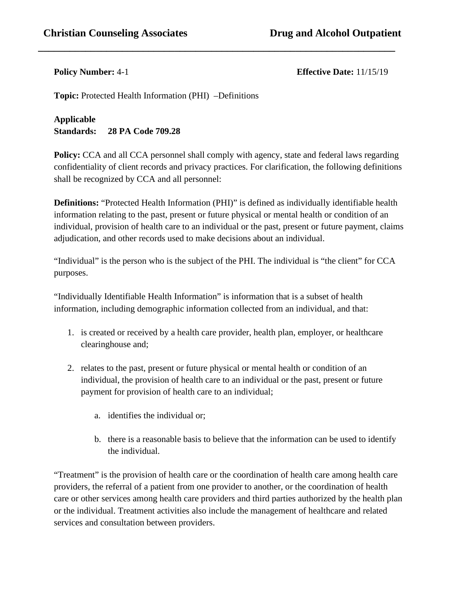**Policy Number:** 4-1 **Effective Date:** 11/15/19

**Topic:** Protected Health Information (PHI) –Definitions

## **Applicable Standards: 28 PA Code 709.28**

**Policy:** CCA and all CCA personnel shall comply with agency, state and federal laws regarding confidentiality of client records and privacy practices. For clarification, the following definitions shall be recognized by CCA and all personnel:

 **\_\_\_\_\_\_\_\_\_\_\_\_\_\_\_\_\_\_\_\_\_\_\_\_\_\_\_\_\_\_\_\_\_\_\_\_\_\_\_\_\_\_\_\_\_\_\_\_\_\_\_\_\_\_\_\_\_\_\_\_\_\_\_\_\_\_\_\_**

**Definitions:** "Protected Health Information (PHI)" is defined as individually identifiable health information relating to the past, present or future physical or mental health or condition of an individual, provision of health care to an individual or the past, present or future payment, claims adjudication, and other records used to make decisions about an individual.

"Individual" is the person who is the subject of the PHI. The individual is "the client" for CCA purposes.

"Individually Identifiable Health Information" is information that is a subset of health information, including demographic information collected from an individual, and that:

- 1. is created or received by a health care provider, health plan, employer, or healthcare clearinghouse and;
- 2. relates to the past, present or future physical or mental health or condition of an individual, the provision of health care to an individual or the past, present or future payment for provision of health care to an individual;
	- a. identifies the individual or;
	- b. there is a reasonable basis to believe that the information can be used to identify the individual.

"Treatment" is the provision of health care or the coordination of health care among health care providers, the referral of a patient from one provider to another, or the coordination of health care or other services among health care providers and third parties authorized by the health plan or the individual. Treatment activities also include the management of healthcare and related services and consultation between providers.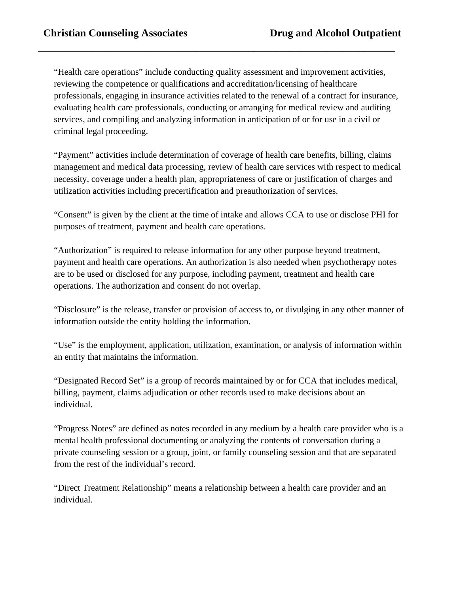"Health care operations" include conducting quality assessment and improvement activities, reviewing the competence or qualifications and accreditation/licensing of healthcare professionals, engaging in insurance activities related to the renewal of a contract for insurance, evaluating health care professionals, conducting or arranging for medical review and auditing services, and compiling and analyzing information in anticipation of or for use in a civil or criminal legal proceeding.

 **\_\_\_\_\_\_\_\_\_\_\_\_\_\_\_\_\_\_\_\_\_\_\_\_\_\_\_\_\_\_\_\_\_\_\_\_\_\_\_\_\_\_\_\_\_\_\_\_\_\_\_\_\_\_\_\_\_\_\_\_\_\_\_\_\_\_\_\_**

"Payment" activities include determination of coverage of health care benefits, billing, claims management and medical data processing, review of health care services with respect to medical necessity, coverage under a health plan, appropriateness of care or justification of charges and utilization activities including precertification and preauthorization of services.

"Consent" is given by the client at the time of intake and allows CCA to use or disclose PHI for purposes of treatment, payment and health care operations.

"Authorization" is required to release information for any other purpose beyond treatment, payment and health care operations. An authorization is also needed when psychotherapy notes are to be used or disclosed for any purpose, including payment, treatment and health care operations. The authorization and consent do not overlap.

"Disclosure" is the release, transfer or provision of access to, or divulging in any other manner of information outside the entity holding the information.

"Use" is the employment, application, utilization, examination, or analysis of information within an entity that maintains the information.

"Designated Record Set" is a group of records maintained by or for CCA that includes medical, billing, payment, claims adjudication or other records used to make decisions about an individual.

"Progress Notes" are defined as notes recorded in any medium by a health care provider who is a mental health professional documenting or analyzing the contents of conversation during a private counseling session or a group, joint, or family counseling session and that are separated from the rest of the individual's record.

"Direct Treatment Relationship" means a relationship between a health care provider and an individual.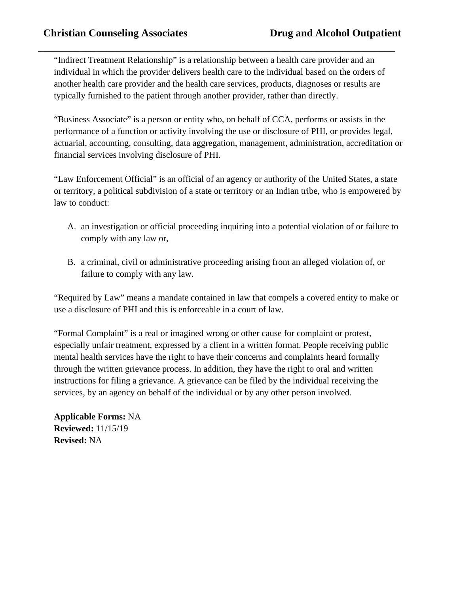"Indirect Treatment Relationship" is a relationship between a health care provider and an individual in which the provider delivers health care to the individual based on the orders of another health care provider and the health care services, products, diagnoses or results are typically furnished to the patient through another provider, rather than directly.

 **\_\_\_\_\_\_\_\_\_\_\_\_\_\_\_\_\_\_\_\_\_\_\_\_\_\_\_\_\_\_\_\_\_\_\_\_\_\_\_\_\_\_\_\_\_\_\_\_\_\_\_\_\_\_\_\_\_\_\_\_\_\_\_\_\_\_\_\_**

"Business Associate" is a person or entity who, on behalf of CCA, performs or assists in the performance of a function or activity involving the use or disclosure of PHI, or provides legal, actuarial, accounting, consulting, data aggregation, management, administration, accreditation or financial services involving disclosure of PHI.

"Law Enforcement Official" is an official of an agency or authority of the United States, a state or territory, a political subdivision of a state or territory or an Indian tribe, who is empowered by law to conduct:

- A. an investigation or official proceeding inquiring into a potential violation of or failure to comply with any law or,
- B. a criminal, civil or administrative proceeding arising from an alleged violation of, or failure to comply with any law.

"Required by Law" means a mandate contained in law that compels a covered entity to make or use a disclosure of PHI and this is enforceable in a court of law.

"Formal Complaint" is a real or imagined wrong or other cause for complaint or protest, especially unfair treatment, expressed by a client in a written format. People receiving public mental health services have the right to have their concerns and complaints heard formally through the written grievance process. In addition, they have the right to oral and written instructions for filing a grievance. A grievance can be filed by the individual receiving the services, by an agency on behalf of the individual or by any other person involved.

**Applicable Forms:** NA **Reviewed:** 11/15/19 **Revised:** NA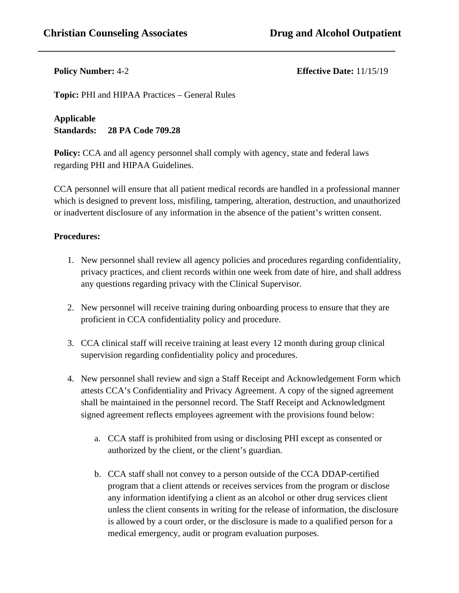**Policy Number: 4-2 Effective Date:** 11/15/19

**Topic:** PHI and HIPAA Practices – General Rules

# **Applicable Standards: 28 PA Code 709.28**

**Policy:** CCA and all agency personnel shall comply with agency, state and federal laws regarding PHI and HIPAA Guidelines.

 **\_\_\_\_\_\_\_\_\_\_\_\_\_\_\_\_\_\_\_\_\_\_\_\_\_\_\_\_\_\_\_\_\_\_\_\_\_\_\_\_\_\_\_\_\_\_\_\_\_\_\_\_\_\_\_\_\_\_\_\_\_\_\_\_\_\_\_\_**

CCA personnel will ensure that all patient medical records are handled in a professional manner which is designed to prevent loss, misfiling, tampering, alteration, destruction, and unauthorized or inadvertent disclosure of any information in the absence of the patient's written consent.

### **Procedures:**

- 1. New personnel shall review all agency policies and procedures regarding confidentiality, privacy practices, and client records within one week from date of hire, and shall address any questions regarding privacy with the Clinical Supervisor.
- 2. New personnel will receive training during onboarding process to ensure that they are proficient in CCA confidentiality policy and procedure.
- 3. CCA clinical staff will receive training at least every 12 month during group clinical supervision regarding confidentiality policy and procedures.
- 4. New personnel shall review and sign a Staff Receipt and Acknowledgement Form which attests CCA's Confidentiality and Privacy Agreement. A copy of the signed agreement shall be maintained in the personnel record. The Staff Receipt and Acknowledgment signed agreement reflects employees agreement with the provisions found below:
	- a. CCA staff is prohibited from using or disclosing PHI except as consented or authorized by the client, or the client's guardian.
	- b. CCA staff shall not convey to a person outside of the CCA DDAP-certified program that a client attends or receives services from the program or disclose any information identifying a client as an alcohol or other drug services client unless the client consents in writing for the release of information, the disclosure is allowed by a court order, or the disclosure is made to a qualified person for a medical emergency, audit or program evaluation purposes.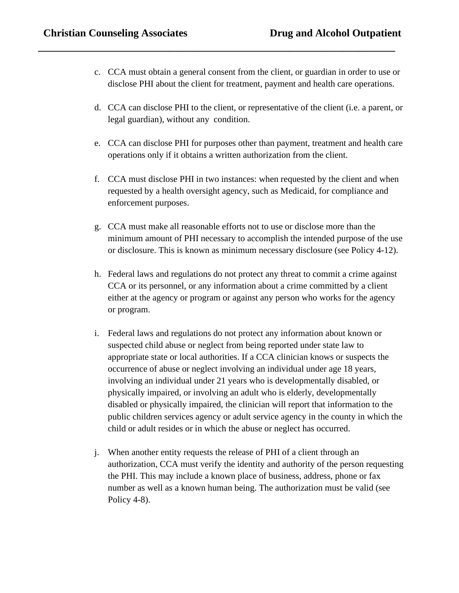c. CCA must obtain a general consent from the client, or guardian in order to use or disclose PHI about the client for treatment, payment and health care operations.

 **\_\_\_\_\_\_\_\_\_\_\_\_\_\_\_\_\_\_\_\_\_\_\_\_\_\_\_\_\_\_\_\_\_\_\_\_\_\_\_\_\_\_\_\_\_\_\_\_\_\_\_\_\_\_\_\_\_\_\_\_\_\_\_\_\_\_\_\_**

- d. CCA can disclose PHI to the client, or representative of the client (i.e. a parent, or legal guardian), without any condition.
- e. CCA can disclose PHI for purposes other than payment, treatment and health care operations only if it obtains a written authorization from the client.
- f. CCA must disclose PHI in two instances: when requested by the client and when requested by a health oversight agency, such as Medicaid, for compliance and enforcement purposes.
- g. CCA must make all reasonable efforts not to use or disclose more than the minimum amount of PHI necessary to accomplish the intended purpose of the use or disclosure. This is known as minimum necessary disclosure (see Policy 4-12).
- h. Federal laws and regulations do not protect any threat to commit a crime against CCA or its personnel, or any information about a crime committed by a client either at the agency or program or against any person who works for the agency or program.
- i. Federal laws and regulations do not protect any information about known or suspected child abuse or neglect from being reported under state law to appropriate state or local authorities. If a CCA clinician knows or suspects the occurrence of abuse or neglect involving an individual under age 18 years, involving an individual under 21 years who is developmentally disabled, or physically impaired, or involving an adult who is elderly, developmentally disabled or physically impaired, the clinician will report that information to the public children services agency or adult service agency in the county in which the child or adult resides or in which the abuse or neglect has occurred.
- j. When another entity requests the release of PHI of a client through an authorization, CCA must verify the identity and authority of the person requesting the PHI. This may include a known place of business, address, phone or fax number as well as a known human being. The authorization must be valid (see Policy 4-8).